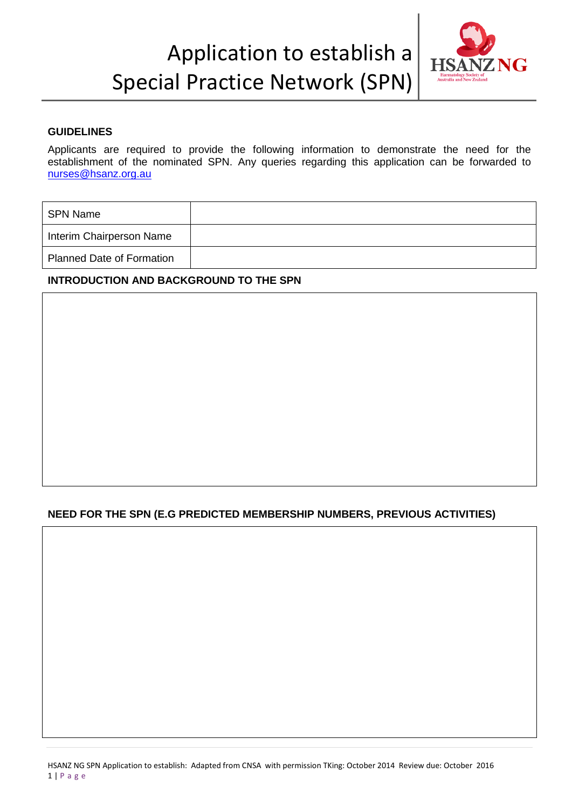## Application to establish a Special Practice Network (SPN)



### **GUIDELINES**

Applicants are required to provide the following information to demonstrate the need for the establishment of the nominated SPN. Any queries regarding this application can be forwarded to [nurses@hsanz.org.au](mailto:nurses@hsanz.org.au)

| <b>SPN Name</b>                  |  |
|----------------------------------|--|
| Interim Chairperson Name         |  |
| <b>Planned Date of Formation</b> |  |

### **INTRODUCTION AND BACKGROUND TO THE SPN**

### **NEED FOR THE SPN (E.G PREDICTED MEMBERSHIP NUMBERS, PREVIOUS ACTIVITIES)**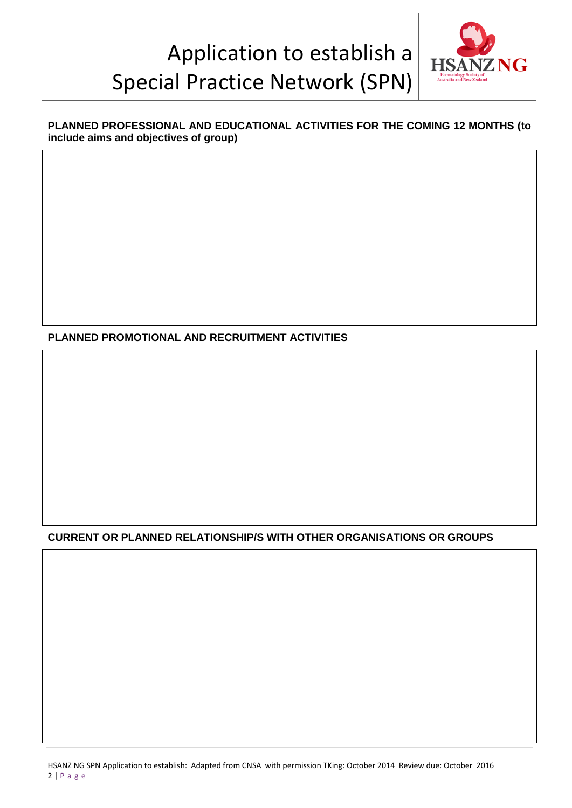# Application to establish a Special Practice Network (SPN)



## **PLANNED PROFESSIONAL AND EDUCATIONAL ACTIVITIES FOR THE COMING 12 MONTHS (to include aims and objectives of group)**

**PLANNED PROMOTIONAL AND RECRUITMENT ACTIVITIES**

**CURRENT OR PLANNED RELATIONSHIP/S WITH OTHER ORGANISATIONS OR GROUPS**